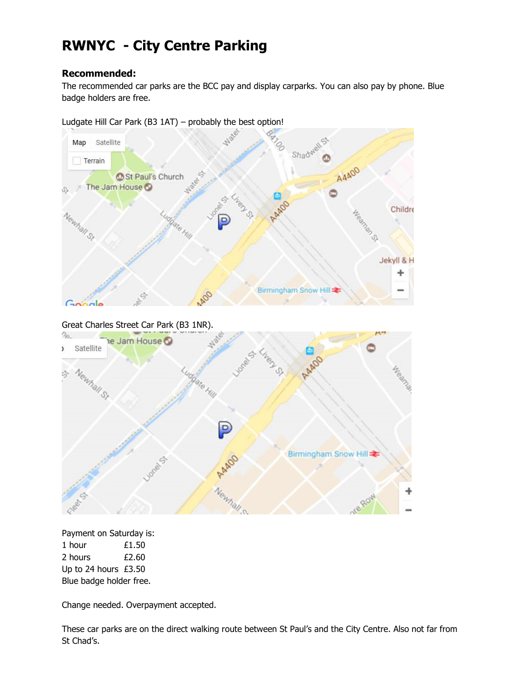# **RWNYC - City Centre Parking**

## **Recommended:**

The recommended car parks are the BCC pay and display carparks. You can also pay by phone. Blue badge holders are free.

## Ludgate Hill Car Park (B3 1AT) – probably the best option!



Great Charles Street Car Park (B3 1NR).



Payment on Saturday is: 1 hour **£1.50** 2 hours £2.60 Up to 24 hours £3.50 Blue badge holder free.

Change needed. Overpayment accepted.

These car parks are on the direct walking route between St Paul's and the City Centre. Also not far from St Chad's.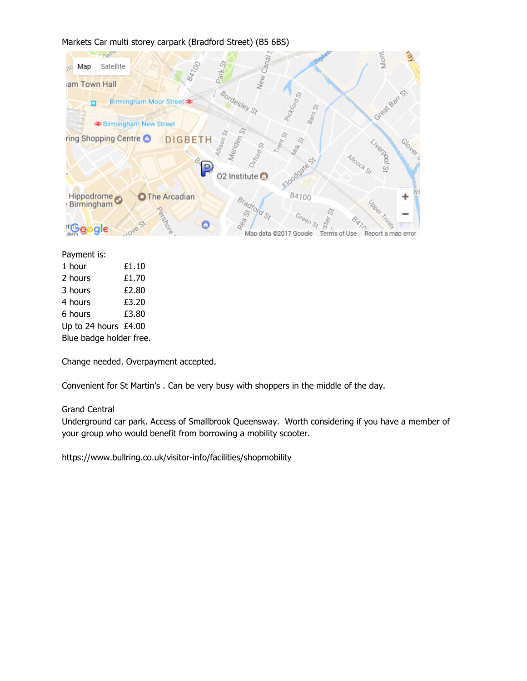#### Markets Car multi storey carpark (Bradford Street) (B5 6BS)



#### Payment is:

| 1 hour                  | £1.10 |
|-------------------------|-------|
| 2 hours                 | £1.70 |
| 3 hours                 | £2.80 |
| 4 hours                 | £3.20 |
| 6 hours                 | £3.80 |
| Up to 24 hours £4.00    |       |
| Blue badge holder free. |       |

Change needed. Overpayment accepted.

Convenient for St Martin's . Can be very busy with shoppers in the middle of the day.

#### Grand Central

Underground car park. Access of Smallbrook Queensway. Worth considering if you have a member of your group who would benefit from borrowing a mobility scooter.

<https://www.bullring.co.uk/visitor-info/facilities/shopmobility>